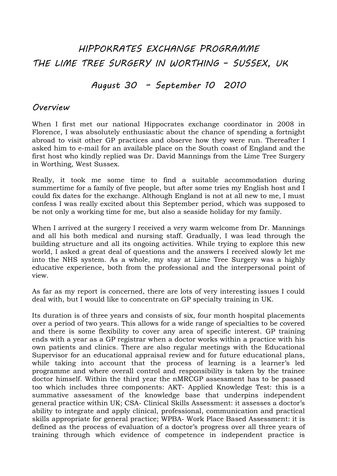# HIPPOKRATES EXCHANGE PROGRAMME THE LIME TREE SURGERY IN WORTHING – SUSSEX, UK

## August 30 – September 10 2010

### Overview

When I first met our national Hippocrates exchange coordinator in 2008 in Florence, I was absolutely enthusiastic about the chance of spending a fortnight abroad to visit other GP practices and observe how they were run. Thereafter I asked him to e-mail for an available place on the South coast of England and the first host who kindly replied was Dr. David Mannings from the Lime Tree Surgery in Worthing, West Sussex.

Really, it took me some time to find a suitable accommodation during summertime for a family of five people, but after some tries my English host and I could fix dates for the exchange. Although England is not at all new to me, I must confess I was really excited about this September period, which was supposed to be not only a working time for me, but also a seaside holiday for my family.

When I arrived at the surgery I received a very warm welcome from Dr. Mannings and all his both medical and nursing staff. Gradually, I was lead through the building structure and all its ongoing activities. While trying to explore this new world, I asked a great deal of questions and the answers I received slowly let me into the NHS system. As a whole, my stay at Lime Tree Surgery was a highly educative experience, both from the professional and the interpersonal point of view.

As far as my report is concerned, there are lots of very interesting issues I could deal with, but I would like to concentrate on GP specialty training in UK.

Its duration is of three years and consists of six, four month hospital placements over a period of two years. This allows for a wide range of specialties to be covered and there is some flexibility to cover any area of specific interest. GP training ends with a year as a GP registrar when a doctor works within a practice with his own patients and clinics. There are also regular meetings with the Educational Supervisor for an educational appraisal review and for future educational plans, while taking into account that the process of learning is a learner's led programme and where overall control and responsibility is taken by the trainee doctor himself. Within the third year the nMRCGP assessment has to be passed too which includes three components: AKT- Applied Knowledge Test: this is a summative assessment of the knowledge base that underpins independent general practice within UK; CSA- Clinical Skills Assessment: it assesses a doctor's ability to integrate and apply clinical, professional, communication and practical skills appropriate for general practice; WPBA- Work Place Based Assessment: it is defined as the process of evaluation of a doctor's progress over all three years of training through which evidence of competence in independent practice is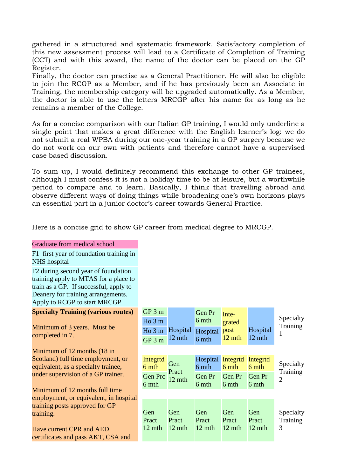gathered in a structured and systematic framework. Satisfactory completion of this new assessment process will lead to a Certificate of Completion of Training (CCT) and with this award, the name of the doctor can be placed on the GP Register.

Finally, the doctor can practise as a General Practitioner. He will also be eligible to join the RCGP as a Member, and if he has previously been an Associate in Training, the membership category will be upgraded automatically. As a Member, the doctor is able to use the letters MRCGP after his name for as long as he remains a member of the College.

As for a concise comparison with our Italian GP training, I would only underline a single point that makes a great difference with the English learner's log: we do not submit a real WPBA during our one-year training in a GP surgery because we do not work on our own with patients and therefore cannot have a supervised case based discussion.

To sum up, I would definitely recommend this exchange to other GP trainees, although I must confess it is not a holiday time to be at leisure, but a worthwhile period to compare and to learn. Basically, I think that travelling abroad and observe different ways of doing things while broadening one's own horizons plays an essential part in a junior doctor's career towards General Practice.

Here is a concise grid to show GP career from medical degree to MRCGP.

| Graduate from medical school                                                                                                                                                                 |  |  |  |  |  |
|----------------------------------------------------------------------------------------------------------------------------------------------------------------------------------------------|--|--|--|--|--|
| F1 first year of foundation training in<br>NHS hospital                                                                                                                                      |  |  |  |  |  |
| F2 during second year of foundation<br>training apply to MTAS for a place to<br>train as a GP. If successful, apply to<br>Deanery for training arrangements.<br>Apply to RCGP to start MRCGP |  |  |  |  |  |
| <b>Specialty Training (various routes)</b>                                                                                                                                                   |  |  |  |  |  |
| Minimum of 3 years. Must be<br>completed in 7.                                                                                                                                               |  |  |  |  |  |
| Minimum of 12 months (18 in<br>Scotland) full time employment, or                                                                                                                            |  |  |  |  |  |

Scotland) full time employment, or equivalent, as a specialty trainee, under supervision of a GP trainer.

Minimum of 12 months full time employment, or equivalent, in hospital training posts approved for GP training.

Have current CPR and AED certificates and pass AKT, CSA and

| $GP3$ m<br>$H_0$ 3 m<br>Ho3m<br>$GP3$ m      | Hospital<br>12 mth            | Gen Pr<br>6 mth<br>Hospital<br>6 mth        | Inte-<br>grated<br>post<br>12 mth    | Hospital<br>12 mth                   | Specialty<br>Training      |
|----------------------------------------------|-------------------------------|---------------------------------------------|--------------------------------------|--------------------------------------|----------------------------|
| Integrtd<br>6 mth<br><b>Gen Prc</b><br>6 mth | Gen<br>Pract<br>12 mth        | <b>Hospital</b><br>6 mth<br>Gen Pr<br>6 mth | Integrtd<br>6 mth<br>Gen Pr<br>6 mth | Integrtd<br>6 mth<br>Gen Pr<br>6 mth | Specialty<br>Training<br>2 |
| Gen<br>Pract<br>$12 \text{ mth}$             | <b>Gen</b><br>Pract<br>12 mth | <b>Gen</b><br>Pract<br>$12 \text{ mth}$     | <b>Gen</b><br>Pract<br>12 mth        | Gen<br>Pract<br>$12 \text{ mth}$     | Specialty<br>Training<br>3 |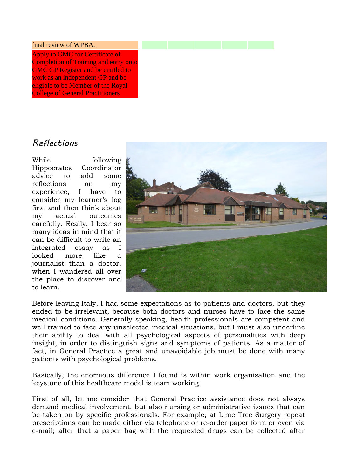#### final review of WPBA.

Apply to GMC for Certificate of Completion of Training and entry onto GMC GP Register and be entitled to work as an independent GP and be eligible to be Member of the Royal College of General Practitioners

### Reflections

While following Hippocrates Coordinator advice to add some reflections on my experience, I have to consider my learner's log first and then think about my actual outcomes carefully. Really, I bear so many ideas in mind that it can be difficult to write an integrated essay as I looked more like a journalist than a doctor, when I wandered all over the place to discover and to learn.



Before leaving Italy, I had some expectations as to patients and doctors, but they ended to be irrelevant, because both doctors and nurses have to face the same medical conditions. Generally speaking, health professionals are competent and well trained to face any unselected medical situations, but I must also underline their ability to deal with all psychological aspects of personalities with deep insight, in order to distinguish signs and symptoms of patients. As a matter of fact, in General Practice a great and unavoidable job must be done with many patients with psychological problems.

Basically, the enormous difference I found is within work organisation and the keystone of this healthcare model is team working.

First of all, let me consider that General Practice assistance does not always demand medical involvement, but also nursing or administrative issues that can be taken on by specific professionals. For example, at Lime Tree Surgery repeat prescriptions can be made either via telephone or re-order paper form or even via e-mail; after that a paper bag with the requested drugs can be collected after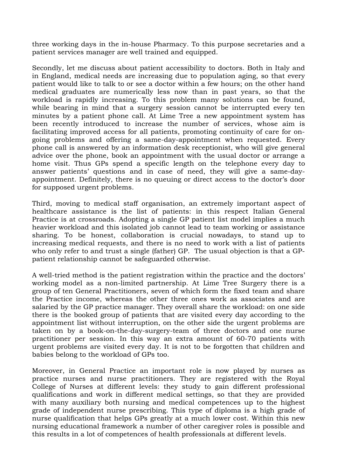three working days in the in-house Pharmacy. To this purpose secretaries and a patient services manager are well trained and equipped.

Secondly, let me discuss about patient accessibility to doctors. Both in Italy and in England, medical needs are increasing due to population aging, so that every patient would like to talk to or see a doctor within a few hours; on the other hand medical graduates are numerically less now than in past years, so that the workload is rapidly increasing. To this problem many solutions can be found, while bearing in mind that a surgery session cannot be interrupted every ten minutes by a patient phone call. At Lime Tree a new appointment system has been recently introduced to increase the number of services, whose aim is facilitating improved access for all patients, promoting continuity of care for ongoing problems and offering a same-day-appointment when requested. Every phone call is answered by an information desk receptionist, who will give general advice over the phone, book an appointment with the usual doctor or arrange a home visit. Thus GPs spend a specific length on the telephone every day to answer patients' questions and in case of need, they will give a same-dayappointment. Definitely, there is no queuing or direct access to the doctor's door for supposed urgent problems.

Third, moving to medical staff organisation, an extremely important aspect of healthcare assistance is the list of patients: in this respect Italian General Practice is at crossroads. Adopting a single GP patient list model implies a much heavier workload and this isolated job cannot lead to team working or assistance sharing. To be honest, collaboration is crucial nowadays, to stand up to increasing medical requests, and there is no need to work with a list of patients who only refer to and trust a single (father) GP. The usual objection is that a GPpatient relationship cannot be safeguarded otherwise.

A well-tried method is the patient registration within the practice and the doctors' working model as a non-limited partnership. At Lime Tree Surgery there is a group of ten General Practitioners, seven of which form the fixed team and share the Practice income, whereas the other three ones work as associates and are salaried by the GP practice manager. They overall share the workload: on one side there is the booked group of patients that are visited every day according to the appointment list without interruption, on the other side the urgent problems are taken on by a book-on-the-day-surgery-team of three doctors and one nurse practitioner per session. In this way an extra amount of 60-70 patients with urgent problems are visited every day. It is not to be forgotten that children and babies belong to the workload of GPs too.

Moreover, in General Practice an important role is now played by nurses as practice nurses and nurse practitioners. They are registered with the Royal College of Nurses at different levels: they study to gain different professional qualifications and work in different medical settings, so that they are provided with many auxiliary both nursing and medical competences up to the highest grade of independent nurse prescribing. This type of diploma is a high grade of nurse qualification that helps GPs greatly at a much lower cost. Within this new nursing educational framework a number of other caregiver roles is possible and this results in a lot of competences of health professionals at different levels.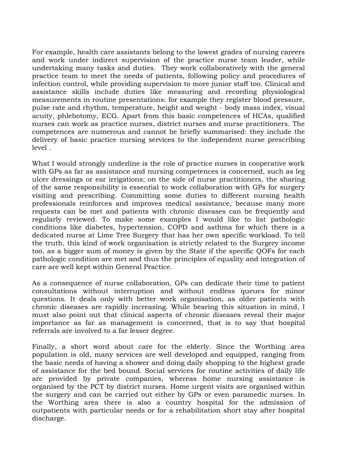For example, health care assistants belong to the lowest grades of nursing careers and work under indirect supervision of the practice nurse team leader, while undertaking many tasks and duties. They work collaboratively with the general practice team to meet the needs of patients, following policy and procedures of infection control, while providing supervision to more junior staff too. Clinical and assistance skills include duties like measuring and recording physiological measurements in routine presentations: for example they register blood pressure, pulse rate and rhythm, temperature, height and weight - body mass index, visual acuity, phlebotomy, ECG. Apart from this basic competences of HCAs, qualified nurses can work as practice nurses, district nurses and nurse practitioners. The competences are numerous and cannot be briefly summarised: they include the delivery of basic practice nursing services to the independent nurse prescribing level .

What I would strongly underline is the role of practice nurses in cooperative work with GPs as far as assistance and nursing competences is concerned, such as leg ulcer dressings or ear irrigations; on the side of nurse practitioners, the sharing of the same responsibility is essential to work collaboration with GPs for surgery visiting and prescribing. Committing some duties to different nursing health professionals reinforces and improves medical assistance, because many more requests can be met and patients with chronic diseases can be frequently and regularly reviewed. To make some examples I would like to list pathologic conditions like diabetes, hypertension, COPD and asthma for which there is a dedicated nurse at Lime Tree Surgery that has her own specific workload. To tell the truth, this kind of work organisation is strictly related to the Surgery income too, as a bigger sum of money is given by the State if the specific QOFs for each pathologic condition are met and thus the principles of equality and integration of care are well kept within General Practice.

As a consequence of nurse collaboration, GPs can dedicate their time to patient consultations without interruption and without endless queues for minor questions. It deals only with better work organisation, as older patients with chronic diseases are rapidly increasing. While bearing this situation in mind, I must also point out that clinical aspects of chronic diseases reveal their major importance as far as management is concerned, that is to say that hospital referrals are involved to a far lesser degree.

Finally, a short word about care for the elderly. Since the Worthing area population is old, many services are well developed and equipped, ranging from the basic needs of having a shower and doing daily shopping to the highest grade of assistance for the bed bound. Social services for routine activities of daily life are provided by private companies, whereas home nursing assistance is organised by the PCT by district nurses. Home urgent visits are organised within the surgery and can be carried out either by GPs or even paramedic nurses. In the Worthing area there is also a country hospital for the admission of outpatients with particular needs or for a rehabilitation short stay after hospital discharge.